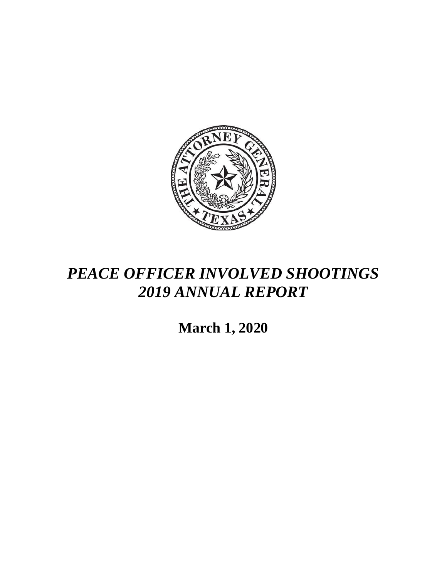

## *PEACE OFFICER INVOLVED SHOOTINGS 2019 ANNUAL REPORT*

**March 1, 2020**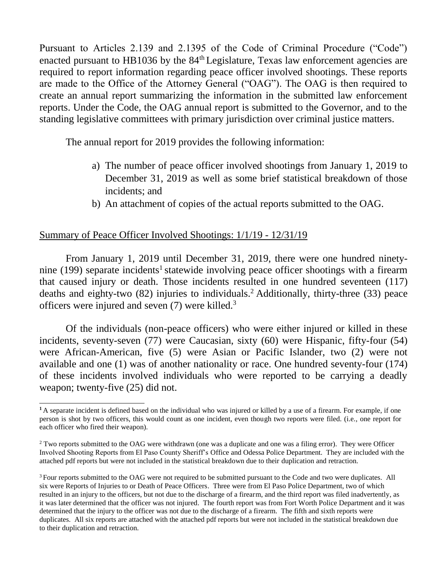Pursuant to Articles 2.139 and 2.1395 of the Code of Criminal Procedure ("Code") enacted pursuant to HB1036 by the  $84<sup>th</sup>$  Legislature, Texas law enforcement agencies are required to report information regarding peace officer involved shootings. These reports are made to the Office of the Attorney General ("OAG"). The OAG is then required to create an annual report summarizing the information in the submitted law enforcement reports. Under the Code, the OAG annual report is submitted to the Governor, and to the standing legislative committees with primary jurisdiction over criminal justice matters.

The annual report for 2019 provides the following information:

- a) The number of peace officer involved shootings from January 1, 2019 to December 31, 2019 as well as some brief statistical breakdown of those incidents; and
- b) An attachment of copies of the actual reports submitted to the OAG.

## Summary of Peace Officer Involved Shootings: 1/1/19 - 12/31/19

From January 1, 2019 until December 31, 2019, there were one hundred ninetynine (199) separate incidents<sup>1</sup> statewide involving peace officer shootings with a firearm that caused injury or death. Those incidents resulted in one hundred seventeen (117) deaths and eighty-two (82) injuries to individuals.<sup>2</sup> Additionally, thirty-three (33) peace officers were injured and seven (7) were killed.<sup>3</sup>

Of the individuals (non-peace officers) who were either injured or killed in these incidents, seventy-seven (77) were Caucasian, sixty (60) were Hispanic, fifty-four (54) were African-American, five (5) were Asian or Pacific Islander, two (2) were not available and one (1) was of another nationality or race. One hundred seventy-four (174) of these incidents involved individuals who were reported to be carrying a deadly weapon; twenty-five (25) did not.

**<sup>1</sup>**A separate incident is defined based on the individual who was injured or killed by a use of a firearm. For example, if one person is shot by two officers, this would count as one incident, even though two reports were filed. (i.e., one report for each officer who fired their weapon).

<sup>&</sup>lt;sup>2</sup> Two reports submitted to the OAG were withdrawn (one was a duplicate and one was a filing error). They were Officer Involved Shooting Reports from El Paso County Sheriff's Office and Odessa Police Department. They are included with the attached pdf reports but were not included in the statistical breakdown due to their duplication and retraction.

<sup>&</sup>lt;sup>3</sup> Four reports submitted to the OAG were not required to be submitted pursuant to the Code and two were duplicates. All six were Reports of Injuries to or Death of Peace Officers. Three were from El Paso Police Department, two of which resulted in an injury to the officers, but not due to the discharge of a firearm, and the third report was filed inadvertently, as it was later determined that the officer was not injured. The fourth report was from Fort Worth Police Department and it was determined that the injury to the officer was not due to the discharge of a firearm. The fifth and sixth reports were duplicates. All six reports are attached with the attached pdf reports but were not included in the statistical breakdown due to their duplication and retraction.